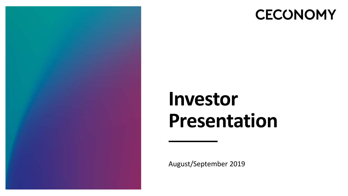

## **CECONOMY**

## **Investor Presentation**

August/September 2019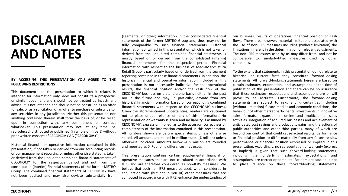## **DISCLAIMER AND NOTES**

#### **BY ACCESSING THIS PRESENTATION YOU AGREE TO THE FOLLOWING RESTRICTIONS**

This document and the presentation to which it relates is intended for information only, does not constitute a prospectus or similar document and should not be treated as investment advice. It is not intended and should not be construed as an offer for sale, or as a solicitation of an offer to purchase or subscribe to, any securities in any jurisdiction. Neither this presentation nor anything contained therein shall form the basis of, or be relied upon in connection with, any commitment or contract whatsoever. This presentation may not, at any time, be reproduced, distributed or published (in whole or in part) without prior written consent of CECONOMY AG ("**CECONOMY**").

Historical financial or operative information contained in this presentation, if not taken or derived from our accounting records or our management reporting or unless otherwise stated, is taken or derived from the unaudited combined financial statements of CECONOMY for the respective period and not from the consolidated (interim) financial statements of the former METRO Group. The combined financial statements of CECONOMY have not been audited and may also deviate substantially from

(segmental or other) information in the consolidated financial statements of the former METRO Group and, thus, may not be fully comparable to such financial statements. Historical information contained in this presentation which is not taken or derived from the unaudited combined financial statements is mostly based on or derived from the consolidated (interim) financial statements for the respective period. Financial information with respect to the business of MediaMarktSaturn Retail Group is particularly based on or derived from the segment reporting contained in these financial statements. In addition, the historical financial and operative information included in this presentation is not necessarily indicative for the operational results, the financial position and/or the cash flow of the CECONOMY business on a stand-alone basis neither in the past nor in the future and may, in particular, deviate from any historical financial information based on corresponding combined financial statements with respect to the CECONOMY business. Given the aforementioned uncertainties, readers are cautioned not to place undue reliance on any of this information. No representation or warranty is given and no liability is assumed by CECONOMY, express or implied, as to the accuracy, correctness or completeness of the information contained in this presentation. All numbers shown are before special items, unless otherwise stated. All amounts are stated in million euros (€ million) unless otherwise indicated. Amounts below €0.5 million are rounded and reported as 0. Rounding differences may occur.

This presentation contains certain supplemental financial or operative measures that are not calculated in accordance with IFRS and are therefore considered as non-IFRS measures. We believe that such non-IFRS measures used, when considered in conjunction with (but not in lieu of) other measures that are computed in accordance with IFRS, enhance the understanding of our business, results of operations, financial position or cash flows. There are, however, material limitations associated with the use of non-IFRS measures including (without limitation) the limitations inherent in the determination of relevant adjustments. The non-IFRS measures used by us may differ from, and not be comparable to, similarly-titled measures used by other companies.

To the extent that statements in this presentation do not relate to historical or current facts they constitute forward-looking statements. All forward-looking statements herein are based on certain estimates, expectations and assumptions at the time of publication of this presentation and there can be no assurance that these estimates, expectations and assumptions are or will prove to be accurate. Furthermore, the forward-looking statements are subject to risks and uncertainties including (without limitation) future market and economic conditions, the behaviour of other market participants, investments in innovative sales formats, expansion in online and multichannel sales activities, integration of acquired businesses and achievement of anticipated cost savings and productivity gains, and the actions of public authorities and other third parties, many of which are beyond our control, that could cause actual results, performance or financial position to differ materially from any future results, performance or financial position expressed or implied in this presentation. Accordingly, no representation or warranty (express or implied) is given that such forward-looking statements, including the underlying estimates, expectations and assumptions, are correct or complete. Readers are cautioned not to place reliance on these forward-looking statements.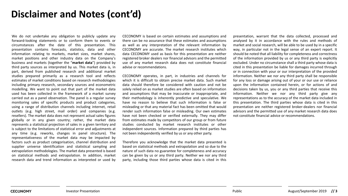## **Disclaimer and Notes (cont'd)**

We do not undertake any obligation to publicly update any forward-looking statements or to conform them to events or circumstances after the date of this presentation. This presentation contains forecasts, statistics, data and other information relating to markets, market sizes, market shares, market positions and other industry data on the Company's business and markets (together the "**market data**") provided by third party sources as interpreted by us. This market data is, in part, derived from published research and additional market studies prepared primarily as a research tool and reflects estimates of market conditions based on research methodologies including primary research, secondary sources and econometric modelling. We want to point out that part of the market data used has been collected in the framework of a market survey carried out as a panel observation. The panel is a regular survey monitoring sales of specific products and product categories, using a range of distribution channels including internet, retail outlets (e.g. high street, mail order) and companies (e.g. resellers). The market data does not represent actual sales figures globally or in any given country; rather, the market data represents a statistical projection of sales in a given territory and is subject to the limitations of statistical error and adjustments at any time (e.g. reworks, changes in panel structure). The representativeness of the market data may be impacted by factors such as product categorisation, channel distribution and supplier universe identification and statistical sampling and extrapolation methodologies. The market data presented is based on statistical methods and extrapolation. In addition, market research data and trend information as interpreted or used by

CECONOMY is based on certain estimates and assumptions and there can be no assurance that these estimates and assumptions as well as any interpretation of the relevant information by CECONOMY are accurate. The market research institutes which data CECONOMY used as basis for this presentation are neither registered broker dealers nor financial advisors and the permitted use of any market research data does not constitute financial advise or recommendations.

CECONOMY operates, in part, in industries and channels for which it is difficult to obtain precise market data. Such market data should therefore be considered with caution and not be solely relied on as market studies are often based on information and assumptions that may be inaccurate or inappropriate, and their methodology is inherently predictive and speculative. We have no reason to believe that such information is false or misleading or that any material fact has been omitted that would render such information false or misleading. Our own estimates have not been checked or verified externally. They may differ from estimates made by competitors of our group or from future studies conducted by market research institutes or other independent sources. Information prepared by third parties has not been independently verified by us or any other party.

Therefore you acknowledge that the market data presented is based on statistical methods and extrapolation and so due to the nature of such data no guarantee for completeness and accuracy can be given by us or any third party. Neither we nor any third party, including those third parties whose data is cited in this

presentation, warrant that the data collected, processed and analysed by it in accordance with the rules and methods of market and social research, will be able to be used by in a specific way, in particular not in the legal sense of an expert report. It should be noted that all liability for completeness and correctness of the information provided by us or any third party is explicitly excluded. Under no circumstance shall a third party whose data is cited in this presentation be liable for damages incurred through or in connection with your or our interpretation of the provided information. Neither we nor any third party shall be responsible for any loss or damage arising out of your or our use or reliance upon the information contained herein, or for actions of and decisions taken by us, you or any third parties that receive this information. Neither we nor any third party give any representations as to the accuracy of the market data included in this presentation. The third parties whose data is cited in this presentation are neither registered broker-dealers nor financial advisors and the permitted use of any market research data does not constitute financial advice or recommendations.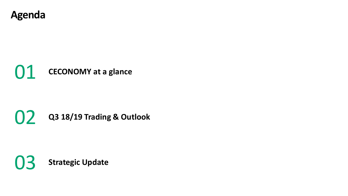

## **CECONOMY at a glance**

## **Q3 18/19 Trading & Outlook**

**Strategic Update**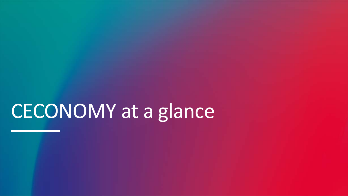# CECONOMY at a glance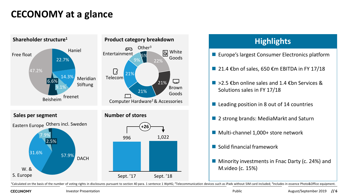## **CECONOMY at a glance**



<sup>1</sup>Calculated on the basis of the number of voting rights in disclosures pursuant to section 40 para. 1 sentence 1 WpHG; <sup>2</sup>Telecommunication devices such as iPads without SIM card included; <sup>3</sup>Includes in essence Photo&Of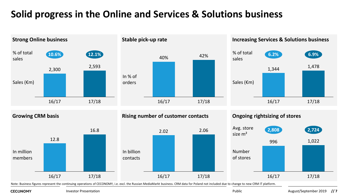## **Solid progress in the Online and Services & Solutions business**



Note: Business figures represent the continuing operations of CECONOMY, i.e. excl. the Russian MediaMarkt business. CRM data for Poland not included due to change to new CRM IT platform.

**CECONOMY** 

Investor Presentation **Public** Public **Public Public Public Public Public Public Public Public Public Public Public Public Public Public Public Public Public Public Public Public Public Public Public Public Public Public P**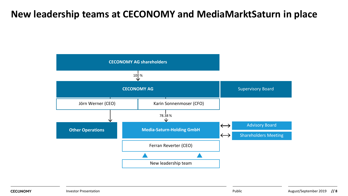## **New leadership teams at CECONOMY and MediaMarktSaturn in place**

![](_page_7_Figure_1.jpeg)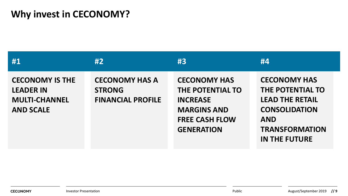## **Why invest in CECONOMY?**

| #1                                                                                     | #2                                                                 | #3                                                                                                                             | #4                                                                                                                                                       |
|----------------------------------------------------------------------------------------|--------------------------------------------------------------------|--------------------------------------------------------------------------------------------------------------------------------|----------------------------------------------------------------------------------------------------------------------------------------------------------|
| <b>CECONOMY IS THE</b><br><b>LEADER IN</b><br><b>MULTI-CHANNEL</b><br><b>AND SCALE</b> | <b>CECONOMY HAS A</b><br><b>STRONG</b><br><b>FINANCIAL PROFILE</b> | <b>CECONOMY HAS</b><br>THE POTENTIAL TO<br><b>INCREASE</b><br><b>MARGINS AND</b><br><b>FREE CASH FLOW</b><br><b>GENERATION</b> | <b>CECONOMY HAS</b><br>THE POTENTIAL TO<br><b>LEAD THE RETAIL</b><br><b>CONSOLIDATION</b><br><b>AND</b><br><b>TRANSFORMATION</b><br><b>IN THE FUTURE</b> |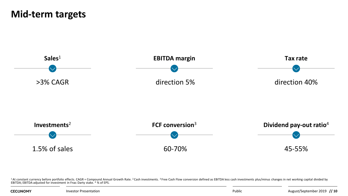## **Mid-term targets**

![](_page_9_Figure_1.jpeg)

<sup>1</sup>At constant currency before portfolio effects. CAGR = Compound Annual Growth Rate. <sup>2</sup> Cash investments. <sup>3</sup> Free Cash Flow conversion defined as EBITDA less cash investments plus/minus changes in net working capital di

**CECONOMY**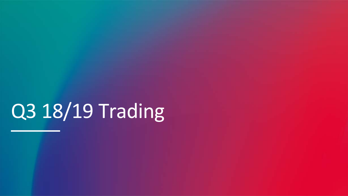# Q3 18/19 Trading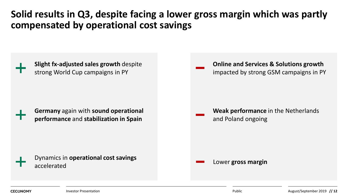## **Solid results in Q3, despite facing a lower gross margin which was partly compensated by operational cost savings**

![](_page_11_Figure_1.jpeg)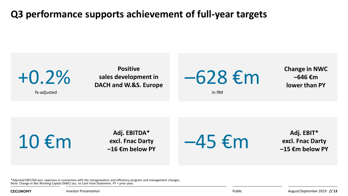## **Q3 performance supports achievement of full-year targets**

![](_page_12_Figure_1.jpeg)

 $\bigcirc$  **Adj. EBITDA\***<br>
excl. Fnac Darty<br>  $-16 \text{ } \in \mathsf{m}$  below PY

**excl. Fnac Darty**

 $-45 \text{ } \epsilon \text{m}$   $^{Addj. EBIT*}$ 

**excl. Fnac Darty –15 €m below PY**

\*Adjusted EBIT/DA excl. expenses in connection with the reorganization and efficiency program and management changes. Note: Change in Net Working Capital (NWC) acc. to Cash Flow Statement. PY = prior year.

**CECONOMY**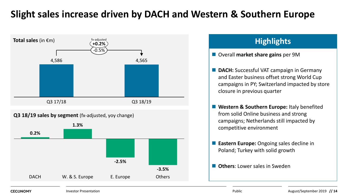## **Slight sales increase driven by DACH and Western & Southern Europe**

![](_page_13_Figure_1.jpeg)

## **Overall market share gains per 9M DACH:** Successful VAT campaign in Germany and Easter business offset strong World Cup campaigns in PY; Switzerland impacted by store closure in previous quarter ■ Western & Southern Europe: Italy benefited from solid Online business and strong campaigns; Netherlands still impacted by competitive environment **Eastern Europe:** Ongoing sales decline in Poland; Turkey with solid growth **D** Others: Lower sales in Sweden

#### **CECONOMY**

**Investor Presentation Public**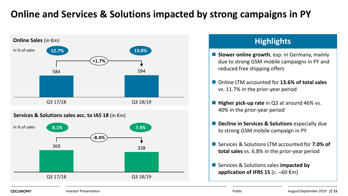## **Online and Services & Solutions impacted by strong campaigns in PY**

![](_page_14_Figure_1.jpeg)

### **Highlights**

- **Slower online growth**, esp. in Germany, mainly due to strong GSM mobile campaigns in PY and reduced free shipping offers
- Online LTM accounted for **13.6% of total sales** vs. 11.7% in the prior-year period
- Higher pick-up rate in Q3 at around 46% vs. 40% in the prior-year period
- **Decline in Services & Solutions** especially due to strong GSM mobile campaign in PY
- Services & Solutions LTM accounted for **7.0% of total sales** vs. 6.8% in the prior-year period
- Services & Solutions sales **impacted by application of IFRS 15** (c. –60 €m)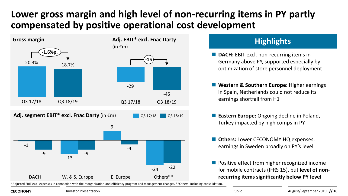## **Lower gross margin and high level of non-recurring items in PY partly compensated by positive operational cost development**

![](_page_15_Figure_1.jpeg)

### **Highlights**

- **DACH:** EBIT excl. non-recurring items in Germany above PY, supported especially by optimization of store personnel deployment
- Western & Southern Europe: Higher earnings in Spain, Netherlands could not reduce its earnings shortfall from H1
- **Eastern Europe:** Ongoing decline in Poland, Turkey impacted by high comps in PY
- **D** Others: Lower CECONOMY HQ expenses, earnings in Sweden broadly on PY's level
- **Positive effect from higher recognized income** for mobile contracts (IFRS 15), but **level of nonrecurring items significantly below PY level**

\*Adjusted EBIT excl. expenses in connection with the reorganization and efficiency program and management changes. \*\*Others: Including consolidation.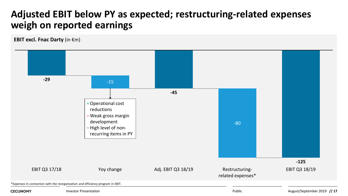## **Adjusted EBIT below PY as expected; restructuring-related expenses weigh on reported earnings**

**EBIT excl. Fnac Darty** (in €m)

![](_page_16_Figure_2.jpeg)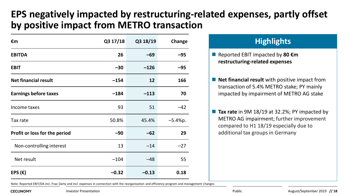## **EPS negatively impacted by restructuring-related expenses, partly offset by positive impact from METRO transaction**

| €m                            | Q3 17/18 | Q3 18/19 | Change    |
|-------------------------------|----------|----------|-----------|
| <b>EBITDA</b>                 | 26       | $-69$    | $-95$     |
| <b>EBIT</b>                   | $-30$    | $-126$   | -95       |
| <b>Net financial result</b>   | $-154$   | 12       | 166       |
| <b>Earnings before taxes</b>  | $-184$   | $-113$   | 70        |
| Income taxes                  | 93       | 51       | $-42$     |
| Tax rate                      | 50.8%    | 45.4%    | $-5.4%p.$ |
| Profit or loss for the period | $-90$    | $-62$    | 29        |
| Non-controlling interest      | 13       | $-14$    | $-27$     |
| Net result                    | $-104$   | $-48$    | 55        |
| EPS $(\epsilon)$              | $-0.32$  | $-0.13$  | 0.18      |

### **Highlights**

- Reported EBIT impacted by 80 **€m restructuring-related expenses**
- **Net financial result** with positive impact from transaction of 5.4% METRO stake; PY mainly impacted by impairment of METRO AG stake
- Tax rate in 9M 18/19 at 32.2%; PY impacted by METRO AG impairment; further improvement compared to H1 18/19 especially due to additional tax groups in Germany

Note: Reported EBIT/DA incl. Fnac Darty and incl. expenses in connection with the reorganization and efficiency program and management changes.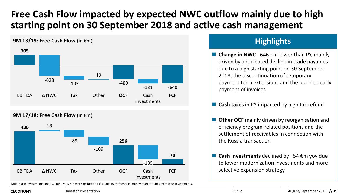## **Free Cash Flow impacted by expected NWC outflow mainly due to high starting point on 30 September 2018 and active cash management**

### **305 -409 -540** -105 -131 EBITDA  $\triangle$  NWC Tax Other **OCF** Cash **FCF** investments Δ NWC Tax Other **OCF** -628 19

**9M 17/18: Free Cash Flow** (in €m)

**9M 18/19: Free Cash Flow** (in €m)

![](_page_18_Figure_3.jpeg)

Note: Cash investments and FCF for 9M 17/18 were restated to exclude investments in money market funds from cash investments.

## **Highlights**

■ **Change in NWC** –646 €m lower than PY, mainly driven by anticipated decline in trade payables due to a high starting point on 30 September 2018, the discontinuation of temporary payment term extensions and the planned early payment of invoices

■ **Cash taxes** in PY impacted by high tax refund

- **Digity Ocher OCF** mainly driven by reorganisation and efficiency program-related positions and the settlement of receivables in connection with the Russia transaction
- Cash investments declined by -54 €m yoy due to lower modernization investments and more selective expansion strategy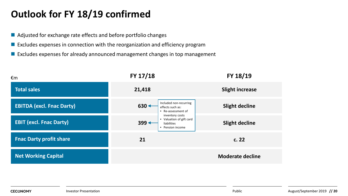## **Outlook for FY 18/19 confirmed**

- Adjusted for exchange rate effects and before portfolio changes
- $\blacksquare$  Excludes expenses in connection with the reorganization and efficiency program
- Excludes expenses for already announced management changes in top management

| €m                               | FY 17/18                                                                                  | FY 18/19                |
|----------------------------------|-------------------------------------------------------------------------------------------|-------------------------|
| <b>Total sales</b>               | 21,418                                                                                    | <b>Slight increase</b>  |
| <b>EBITDA (excl. Fnac Darty)</b> | Included non-recurring<br>$630 +$<br>effects such as:<br>• Re-assessment of               | <b>Slight decline</b>   |
| <b>EBIT (excl. Fnac Darty)</b>   | inventory costs<br>• Valuation of gift card<br>$399 +$<br>liabilities<br>• Pension income | <b>Slight decline</b>   |
| <b>Fnac Darty profit share</b>   | 21                                                                                        | c.22                    |
| <b>Net Working Capital</b>       |                                                                                           | <b>Moderate decline</b> |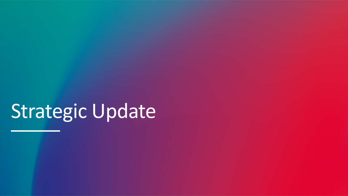# Strategic Update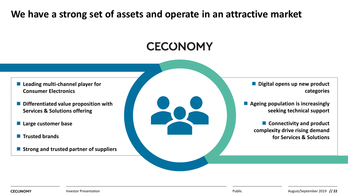## **We have a strong set of assets and operate in an attractive market**

![](_page_21_Figure_1.jpeg)

- Leading multi-channel player for **Consumer Electronics**
- **Differentiated value proposition with Services & Solutions offering**
- **Large customer base**
- **Trusted brands**
- **Strong and trusted partner of suppliers**

 **Digital opens up new product categories**

 **Ageing population is increasingly seeking technical support**

> **Connectivity and product complexity drive rising demand for Services & Solutions**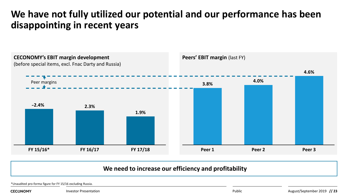## **We have not fully utilized our potential and our performance has been disappointing in recent years**

![](_page_22_Figure_1.jpeg)

#### **We need to increase our efficiency and profitability**

\*Unaudited pro-forma figure for FY 15/16 excluding Russia.

**CECONOMY** 

Investor Presentation **Public** Public **Public Public Public Public Public Public Public Public Public Public Public Public Public Public Public Public Public Public Public Public Public Public Public Public Public Public P**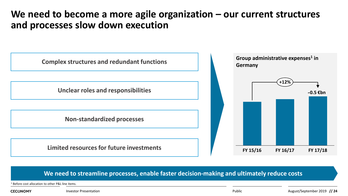## **We need to become a more agile organization – our current structures and processes slow down execution**

![](_page_23_Figure_1.jpeg)

#### **We need to streamline processes, enable faster decision-making and ultimately reduce costs**

<sup>1</sup> Before cost allocation to other P&L line items.

**CECONOMY** 

Investor Presentation **Public** Public **Public Public Public Public Public Public Public Public Public Public Public Public Public Public Public Public Public Public Public Public Public Public Public Public Public Public P**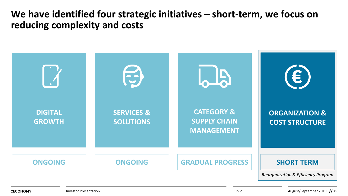## **We have identified four strategic initiatives – short-term, we focus on reducing complexity and costs**

![](_page_24_Figure_1.jpeg)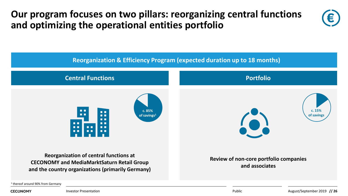**Our program focuses on two pillars: reorganizing central functions and optimizing the operational entities portfolio**

![](_page_25_Picture_1.jpeg)

<sup>1</sup> thereof around 90% from Germany

**CECONOMY** 

Investor Presentation

Public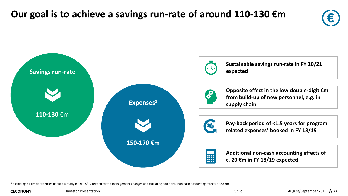![](_page_26_Figure_1.jpeg)

![](_page_26_Figure_2.jpeg)

<sup>1</sup> Excluding 34 €m of expenses booked already in Q1 18/19 related to top management changes and excluding additional non-cash accounting effects of 20 €m.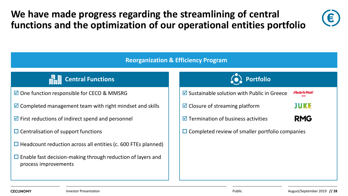## **We have made progress regarding the streamlining of central functions and the optimization of our operational entities portfolio**

![](_page_27_Picture_1.jpeg)

#### **Reorganization & Efficiency Program**

![](_page_27_Picture_3.jpeg)

- $\boxtimes$  One function responsible for CECO & MMSRG
- $\triangledown$  Completed management team with right mindset and skills
- $\triangledown$  First reductions of indirect spend and personnel
- $\square$  Centralisation of support functions
- $\Box$  Headcount reduction across all entities (c. 600 FTEs planned)
- $\square$  Enable fast decision-making through reduction of layers and process improvements

![](_page_27_Figure_10.jpeg)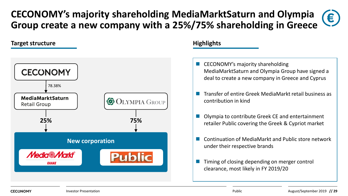### **CECONOMY's majority shareholding MediaMarktSaturn and Olympia**  € **Group create a new company with a 25%/75% shareholding in Greece**

#### **Target structure**

![](_page_28_Figure_2.jpeg)

#### **Highlights**

- CECONOMY's majority shareholding MediaMarktSaturn and Olympia Group have signed a deal to create a new company in Greece and Cyprus
- Transfer of entire Greek MediaMarkt retail business as contribution in kind
- Olympia to contribute Greek CE and entertainment retailer Public covering the Greek & Cypriot market
- Continuation of MediaMarkt and Public store network under their respective brands
- Timing of closing depending on merger control clearance, most likely in FY 2019/20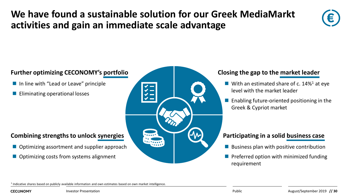## **We have found a sustainable solution for our Greek MediaMarkt activities and gain an immediate scale advantage**

![](_page_29_Picture_1.jpeg)

#### **Further optimizing CECONOMY's portfolio**

- In line with "Lead or Leave" principle
- **Eliminating operational losses**

#### **Combining strengths to unlock synergies Participating in a solid business case**

- Optimizing assortment and supplier approach
- Optimizing costs from systems alignment

![](_page_29_Figure_8.jpeg)

#### **Closing the gap to the market leader**

- **With an estimated share of c. 14%<sup>1</sup> at eye** level with the market leader
- $\blacksquare$  Enabling future-oriented positioning in the Greek & Cypriot market

- Business plan with positive contribution
- Preferred option with minimized funding requirement

<sup>1</sup> Indicative shares based on publicly available information and own estimates based on own market intelligence.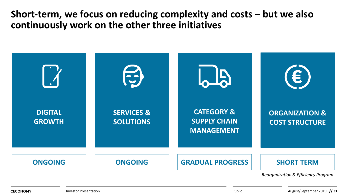**Short-term, we focus on reducing complexity and costs – but we also continuously work on the other three initiatives**

![](_page_30_Figure_1.jpeg)

**CECONOMY**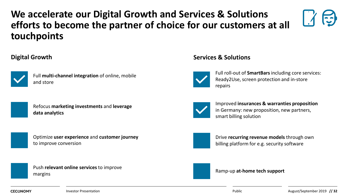## **We accelerate our Digital Growth and Services & Solutions efforts to become the partner of choice for our customers at all touchpoints**

#### **Digital Growth**

![](_page_31_Picture_2.jpeg)

Full **multi-channel integration** of online, mobile and store

![](_page_31_Picture_4.jpeg)

Refocus **marketing investments** and **leverage data analytics** 

![](_page_31_Picture_6.jpeg)

Push **relevant online services** to improve margins

#### **Services & Solutions**

![](_page_31_Picture_9.jpeg)

Full roll-out of **SmartBars** including core services: Ready2Use, screen protection and in-store repairs

![](_page_31_Picture_11.jpeg)

Improved **insurances & warranties proposition**  in Germany: new proposition, new partners, smart billing solution

![](_page_31_Picture_13.jpeg)

Drive **recurring revenue models** through own billing platform for e.g. security software

#### Ramp-up **at-home tech support**

**CECONOMY**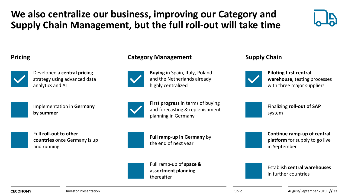## **We also centralize our business, improving our Category and Supply Chain Management, but the full roll-out will take time**

![](_page_32_Picture_1.jpeg)

![](_page_32_Picture_3.jpeg)

Developed a **central pricing**  strategy using advanced data analytics and AI

Implementation in **Germany by summer**

![](_page_32_Picture_7.jpeg)

Full **roll-out to other countries** once Germany is up and running

#### **Pricing Category Management Supply Chain**

![](_page_32_Picture_10.jpeg)

**Buying** in Spain, Italy, Poland and the Netherlands already highly centralized

![](_page_32_Picture_13.jpeg)

**Piloting first central warehouse,** testing processes with three major suppliers

**First progress** in terms of buying and forecasting & replenishment planning in Germany

![](_page_32_Picture_17.jpeg)

Full ramp-up of **space & assortment planning** thereafter

Finalizing **roll-out of SAP**  system

**Continue ramp-up of central platform** for supply to go live in September

![](_page_32_Picture_23.jpeg)

Establish **central warehouses**  in further countries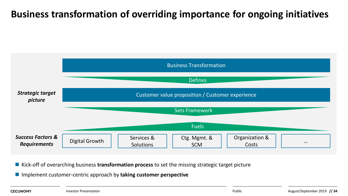## **Business transformation of overriding importance for ongoing initiatives**

![](_page_33_Figure_1.jpeg)

■ Kick-off of overarching business **transformation process** to set the missing strategic target picture

Implement customer-centric approach by **taking customer perspective**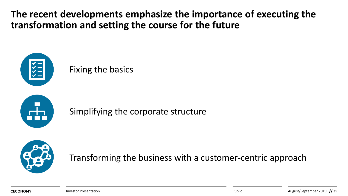**The recent developments emphasize the importance of executing the transformation and setting the course for the future**

![](_page_34_Picture_1.jpeg)

## Fixing the basics

![](_page_34_Picture_3.jpeg)

Simplifying the corporate structure

![](_page_34_Picture_5.jpeg)

Transforming the business with a customer-centric approach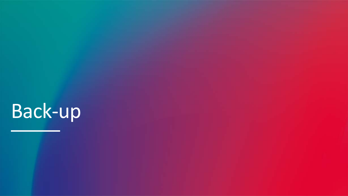# Back-up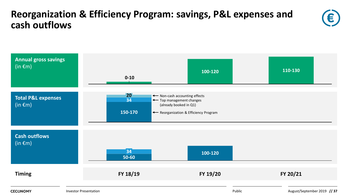## **Reorganization & Efficiency Program: savings, P&L expenses and cash outflows**

![](_page_36_Picture_1.jpeg)

![](_page_36_Figure_2.jpeg)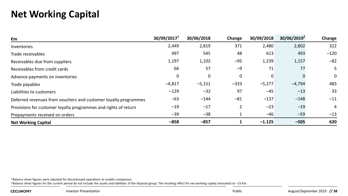## **Net Working Capital**

| €m                                                              | 30/09/2017 <sup>1</sup> | 30/06/2018 | Change         | 30/09/2018 | 30/06/2019 <sup>2</sup> | Change |
|-----------------------------------------------------------------|-------------------------|------------|----------------|------------|-------------------------|--------|
| Inventories                                                     | 2,449                   | 2,819      | 371            | 2,480      | 2,802                   | 322    |
| Trade receivables                                               | 497                     | 545        | 48             | 613        | 493                     | $-120$ |
| Receivables due from suppliers                                  | 1,197                   | 1,102      | $-95$          | 1,239      | 1,157                   | $-82$  |
| Receivables from credit cards                                   | 66                      | 57         | $-9$           | 71         | 77                      | 5      |
| Advance payments on inventories                                 | 0                       | 0          | 0              | 0          |                         | 0      |
| Trade payables                                                  | $-4,817$                | $-5,151$   | $-333$         | $-5,277$   | $-4,794$                | 483    |
| Liabilities to customers                                        | $-129$                  | $-32$      | 97             | $-45$      | $-13$                   | 33     |
| Deferred revenues from vouchers and customer loyalty programmes | $-63$                   | $-144$     | $-81$          | $-137$     | $-148$                  | $-11$  |
| Provisions for customer loyalty programmes and rights of return | $-19$                   | $-17$      | $\overline{2}$ | $-23$      | $-19$                   | 4      |
| Prepayments received on orders                                  | $-39$                   | $-38$      | 1              | $-46$      | $-59$                   | $-13$  |
| <b>Net Working Capital</b>                                      | $-858$                  | $-857$     |                | $-1.125$   | $-505$                  | 620    |

 $1$  Balance sheet figures were adjusted for discontinued operations to enable comparison.

<sup>2</sup> Balance sheet figures for the current period do not include the assets and liabilities of the disposal group. The resulting effect for net working capital amounted to –15 €m.

**CECONOMY**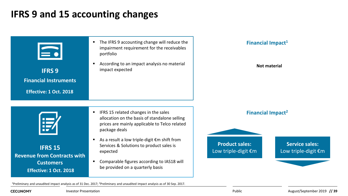## **IFRS 9 and 15 accounting changes**

![](_page_38_Figure_1.jpeg)

1Preliminary and unaudited impact analysis as of 31 Dec. 2017; 2Preliminary and unaudited impact analysis as of 30 Sep. 2017.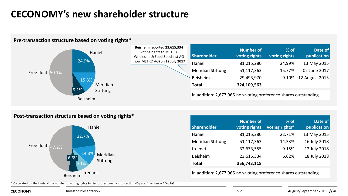## **CECONOMY's new shareholder structure**

![](_page_39_Figure_1.jpeg)

#### **Pre-transaction structure based on voting rights\***

#### **Post-transaction structure based on voting rights\***

![](_page_39_Figure_4.jpeg)

| <b>Shareholder</b> | <b>Number of</b><br>voting rights | $%$ of<br>voting rights* | Date of<br>publication |
|--------------------|-----------------------------------|--------------------------|------------------------|
| Haniel             | 81,015,280                        | 22.71%                   | 13 May 2015            |
| Meridian Stiftung  | 51,117,363                        | 14.33%                   | 16 July 2018           |
| freenet            | 32,633,555                        | 9.15%                    | 12 July 2018           |
| <b>Beisheim</b>    | 23,615,334                        | 6.62%                    | 18 July 2018           |
| Total              | 356,743,118                       |                          |                        |

In addition: 2,677,966 non-voting preference shares outstanding

\* Calculated on the basis of the number of voting rights in disclosures pursuant to section 40 para. 1 sentence 1 WpHG

**CECONOMY** 

**Investor Presentation Public**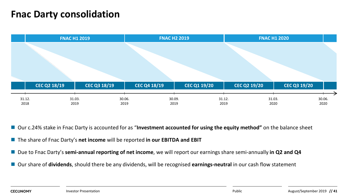## **Fnac Darty consolidation**

|                |                     | <b>FNAC H1 2019</b> |                     |                | <b>FNAC H2 2019</b> |                |              | <b>FNAC H1 2020</b> |                     |                |                     |                |  |
|----------------|---------------------|---------------------|---------------------|----------------|---------------------|----------------|--------------|---------------------|---------------------|----------------|---------------------|----------------|--|
|                |                     |                     |                     |                |                     |                |              |                     |                     |                |                     |                |  |
|                |                     |                     |                     |                |                     |                |              |                     |                     |                |                     |                |  |
|                | <b>CEC Q2 18/19</b> |                     | <b>CEC Q3 18/19</b> |                | <b>CEC Q4 18/19</b> |                | CEC Q1 19/20 |                     | <b>CEC Q2 19/20</b> |                | <b>CEC Q3 19/20</b> |                |  |
| 31.12.<br>2018 |                     | 31.03.<br>2019      |                     | 30.06.<br>2019 |                     | 30.09.<br>2019 |              | 31.12.<br>2019      |                     | 31.03.<br>2020 |                     | 30.06.<br>2020 |  |

■ Our c.24% stake in Fnac Darty is accounted for as "Investment accounted for using the equity method" on the balance sheet

- The share of Fnac Darty's net income will be reported in our EBITDA and EBIT
- Due to Fnac Darty's semi-annual reporting of net income, we will report our earnings share semi-annually in Q2 and Q4
- Our share of **dividends**, should there be any dividends, will be recognised **earnings-neutral** in our cash flow statement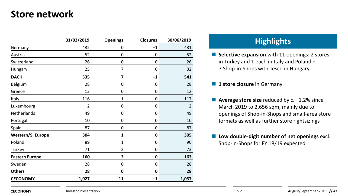## **Store network**

|                       | 31/03/2019 | <b>Openings</b> | <b>Closures</b> | 30/06/2019     |
|-----------------------|------------|-----------------|-----------------|----------------|
| Germany               | 432        | 0               | $-1$            | 431            |
| Austria               | 52         | 0               | 0               | 52             |
| Switzerland           | 26         | 0               | 0               | 26             |
| Hungary               | 25         | 7               | 0               | 32             |
| <b>DACH</b>           | 535        | 7               | $^{-1}$         | 541            |
| Belgium               | 28         | 0               | 0               | 28             |
| Greece                | 12         | 0               | 0               | 12             |
| Italy                 | 116        | 1               | 0               | 117            |
| Luxembourg            | 2          | 0               | 0               | $\overline{2}$ |
| Netherlands           | 49         | 0               | 0               | 49             |
| Portugal              | 10         | 0               | 0               | 10             |
| Spain                 | 87         | 0               | 0               | 87             |
| Western/S. Europe     | 304        | 1               | 0               | 305            |
| Poland                | 89         | 1               | 0               | 90             |
| Turkey                | 71         | 2               | 0               | 73             |
| <b>Eastern Europe</b> | 160        | 3               | 0               | 163            |
| Sweden                | 28         | 0               | 0               | 28             |
| <b>Others</b>         | 28         | 0               | 0               | 28             |
| <b>CECONOMY</b>       | 1,027      | 11              | $-1$            | 1,037          |

## **Highlights 31/03/2019 Openings Closures 30/06/2019**

**Selective expansion** with 11 openings: 2 stores in Turkey and 1 each in Italy and Poland + 7 Shop-in-Shops with Tesco in Hungary

#### **1 store closure** in Germany

- **Average store size** reduced by c. -1.2% since March 2019 to 2,656 sqm, mainly due to openings of Shop-in-Shops and small-area store formats as well as further store rightsizings
- **Low double-digit number of net openings** excl. Shop-in-Shops for FY 18/19 expected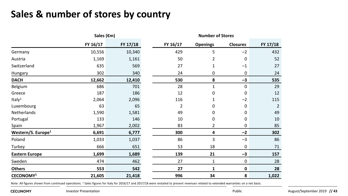## **Sales & number of stores by country**

|                                |          | Sales (€m) |  |          | <b>Number of Stores</b> |                 |          |  |  |  |
|--------------------------------|----------|------------|--|----------|-------------------------|-----------------|----------|--|--|--|
|                                | FY 16/17 | FY 17/18   |  | FY 16/17 | <b>Openings</b>         | <b>Closures</b> | FY 17/18 |  |  |  |
| Germany                        | 10,556   | 10,340     |  | 429      | 5                       | $-2$            | 432      |  |  |  |
| Austria                        | 1,169    | 1,161      |  | 50       | 2                       | 0               | 52       |  |  |  |
| Switzerland                    | 635      | 569        |  | 27       | 1                       | $-1$            | 27       |  |  |  |
| <b>Hungary</b>                 | 302      | 340        |  | 24       | 0                       | 0               | 24       |  |  |  |
| <b>DACH</b>                    | 12,662   | 12,410     |  | 530      | 8                       | $-3$            | 535      |  |  |  |
| Belgium                        | 686      | 701        |  | 28       | 1                       | 0               | 29       |  |  |  |
| Greece                         | 187      | 186        |  | 12       | 0                       | 0               | 12       |  |  |  |
| Italy <sup>1</sup>             | 2,064    | 2,096      |  | 116      | 1                       | $-2$            | 115      |  |  |  |
| Luxembourg                     | 63       | 65         |  | 2        | 0                       | 0               | 2        |  |  |  |
| Netherlands                    | 1,590    | 1,581      |  | 49       | 0                       | 0               | 49       |  |  |  |
| Portugal                       | 133      | 146        |  | 10       | 0                       | 0               | 10       |  |  |  |
| Spain                          | 1,967    | 2,002      |  | 83       | 2                       | 0               | 85       |  |  |  |
| Western/S. Europe <sup>1</sup> | 6,691    | 6,777      |  | 300      | 4                       | $-2$            | 302      |  |  |  |
| Poland                         | 1,033    | 1,037      |  | 86       | 3                       | $-3$            | 86       |  |  |  |
| Turkey                         | 666      | 651        |  | 53       | 18                      | 0               | 71       |  |  |  |
| <b>Eastern Europe</b>          | 1,699    | 1,689      |  | 139      | 21                      | $-3$            | 157      |  |  |  |
| Sweden                         | 474      | 462        |  | 27       | 1                       | 0               | 28       |  |  |  |
| <b>Others</b>                  | 553      | 542        |  | 27       | 1                       | $\mathbf 0$     | 28       |  |  |  |
| CECONOMY <sup>1</sup>          | 21,605   | 21,418     |  | 996      | 34                      | 8               | 1,022    |  |  |  |

Note: All figures shown from continued operations. <sup>1</sup> Sales figures for Italy for 2016/17 and 2017/18 were restated to present revenues related to extended warranties on a net basis.

**CECONOMY**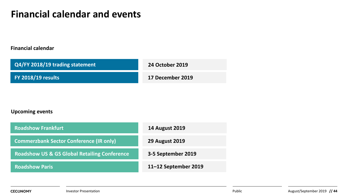## **Financial calendar and events**

#### **Financial calendar**

| Q4/FY 2018/19 trading statement | <b>24 October 2019</b> |
|---------------------------------|------------------------|
| <b>FY 2018/19 results</b>       | 17 December 2019       |

#### **Upcoming events**

| <b>Roadshow Frankfurt</b>                               | <b>14 August 2019</b> |
|---------------------------------------------------------|-----------------------|
| <b>Commerzbank Sector Conference (IR only)</b>          | <b>29 August 2019</b> |
| <b>Roadshow US &amp; GS Global Retailing Conference</b> | 3-5 September 2019    |
| <b>Roadshow Paris</b>                                   | 11-12 September 2019  |